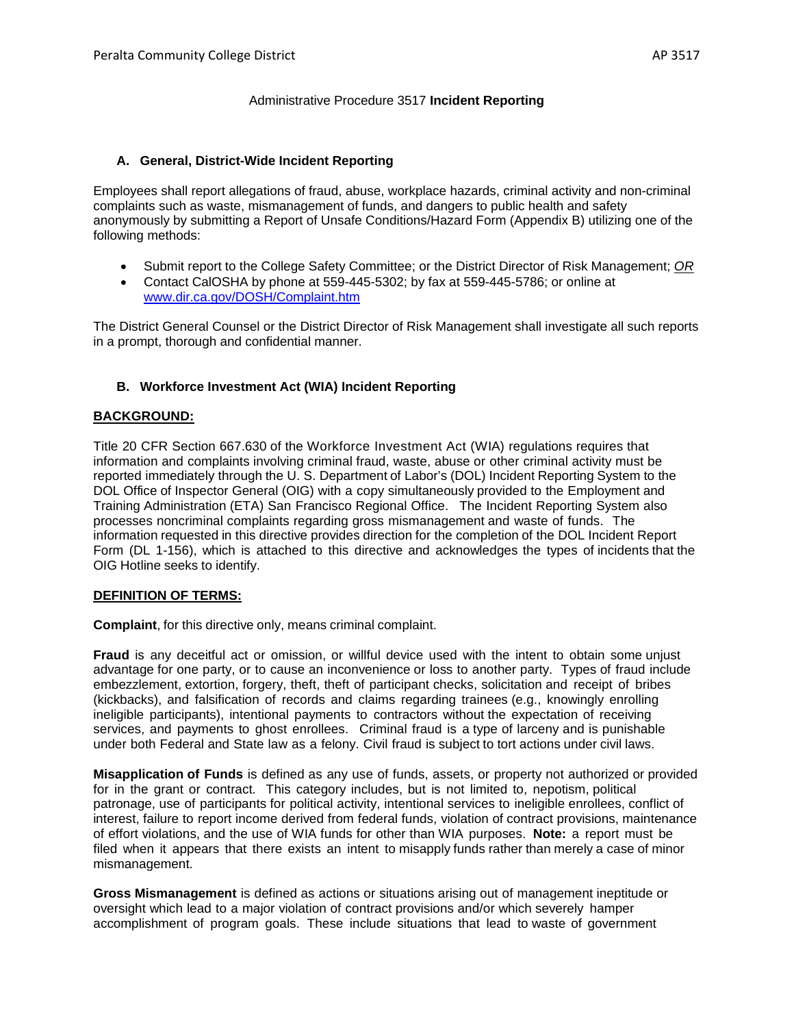#### Administrative Procedure 3517 **Incident Reporting**

#### **A. General, District-Wide Incident Reporting**

Employees shall report allegations of fraud, abuse, workplace hazards, criminal activity and non-criminal complaints such as waste, mismanagement of funds, and dangers to public health and safety anonymously by submitting a Report of Unsafe Conditions/Hazard Form (Appendix B) utilizing one of the following methods:

- Submit report to the College Safety Committee; or the District Director of Risk Management; *OR*
- Contact CalOSHA by phone at 559-445-5302; by fax at 559-445-5786; or online at [www.dir.ca.gov/DOSH/Complaint.htm](http://www.dir.ca.gov/DOSH/Complaint.htm)

The District General Counsel or the District Director of Risk Management shall investigate all such reports in a prompt, thorough and confidential manner.

#### **B. Workforce Investment Act (WIA) Incident Reporting**

#### **BACKGROUND:**

Title 20 CFR Section 667.630 of the Workforce Investment Act (WIA) regulations requires that information and complaints involving criminal fraud, waste, abuse or other criminal activity must be reported immediately through the U. S. Department of Labor's (DOL) Incident Reporting System to the DOL Office of Inspector General (OIG) with a copy simultaneously provided to the Employment and Training Administration (ETA) San Francisco Regional Office. The Incident Reporting System also processes noncriminal complaints regarding gross mismanagement and waste of funds. The information requested in this directive provides direction for the completion of the DOL Incident Report Form (DL 1-156), which is attached to this directive and acknowledges the types of incidents that the OIG Hotline seeks to identify.

#### **DEFINITION OF TERMS:**

**Complaint**, for this directive only, means criminal complaint.

**Fraud** is any deceitful act or omission, or willful device used with the intent to obtain some unjust advantage for one party, or to cause an inconvenience or loss to another party. Types of fraud include embezzlement, extortion, forgery, theft, theft of participant checks, solicitation and receipt of bribes (kickbacks), and falsification of records and claims regarding trainees (e.g., knowingly enrolling ineligible participants), intentional payments to contractors without the expectation of receiving services, and payments to ghost enrollees. Criminal fraud is a type of larceny and is punishable under both Federal and State law as a felony. Civil fraud is subject to tort actions under civil laws.

**Misapplication of Funds** is defined as any use of funds, assets, or property not authorized or provided for in the grant or contract. This category includes, but is not limited to, nepotism, political patronage, use of participants for political activity, intentional services to ineligible enrollees, conflict of interest, failure to report income derived from federal funds, violation of contract provisions, maintenance of effort violations, and the use of WIA funds for other than WIA purposes. **Note:** a report must be filed when it appears that there exists an intent to misapply funds rather than merely a case of minor mismanagement.

**Gross Mismanagement** is defined as actions or situations arising out of management ineptitude or oversight which lead to a major violation of contract provisions and/or which severely hamper accomplishment of program goals. These include situations that lead to waste of government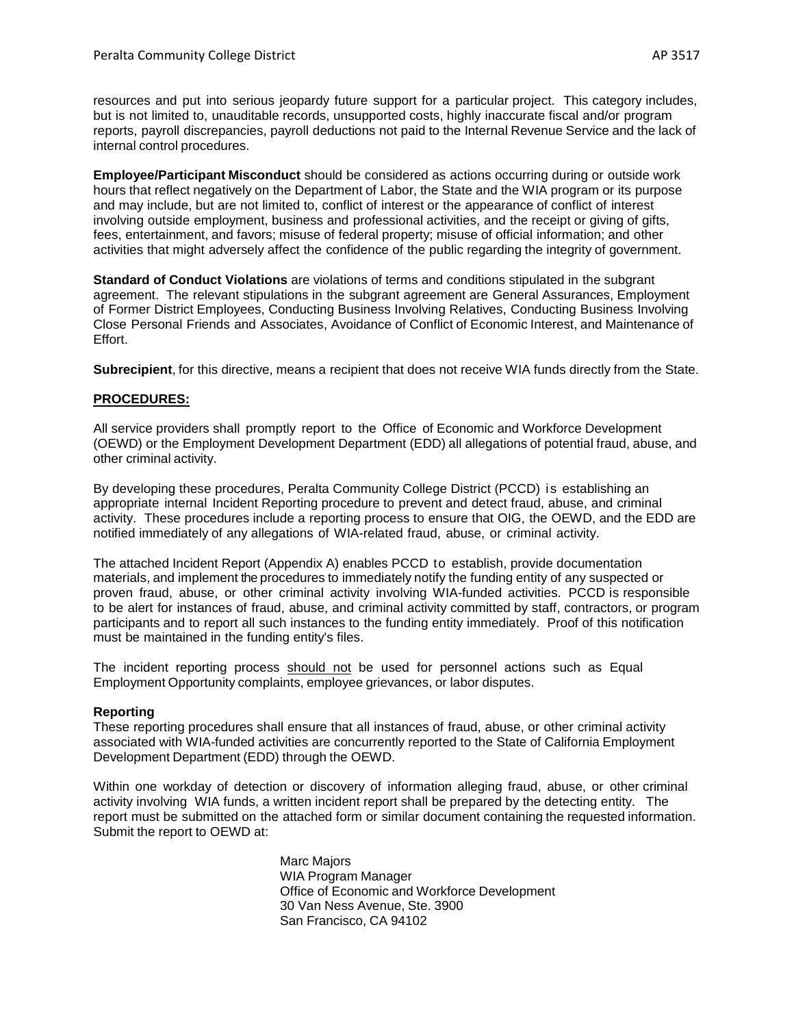resources and put into serious jeopardy future support for a particular project. This category includes, but is not limited to, unauditable records, unsupported costs, highly inaccurate fiscal and/or program reports, payroll discrepancies, payroll deductions not paid to the Internal Revenue Service and the lack of internal control procedures.

**Employee/Participant Misconduct** should be considered as actions occurring during or outside work hours that reflect negatively on the Department of Labor, the State and the WIA program or its purpose and may include, but are not limited to, conflict of interest or the appearance of conflict of interest involving outside employment, business and professional activities, and the receipt or giving of gifts, fees, entertainment, and favors; misuse of federal property; misuse of official information; and other activities that might adversely affect the confidence of the public regarding the integrity of government.

**Standard of Conduct Violations** are violations of terms and conditions stipulated in the subgrant agreement. The relevant stipulations in the subgrant agreement are General Assurances, Employment of Former District Employees, Conducting Business Involving Relatives, Conducting Business Involving Close Personal Friends and Associates, Avoidance of Conflict of Economic Interest, and Maintenance of Effort.

**Subrecipient**, for this directive, means a recipient that does not receive WIA funds directly from the State.

#### **PROCEDURES:**

All service providers shall promptly report to the Office of Economic and Workforce Development (OEWD) or the Employment Development Department (EDD) all allegations of potential fraud, abuse, and other criminal activity.

By developing these procedures, Peralta Community College District (PCCD) is establishing an appropriate internal Incident Reporting procedure to prevent and detect fraud, abuse, and criminal activity. These procedures include a reporting process to ensure that OIG, the OEWD, and the EDD are notified immediately of any allegations of WIA-related fraud, abuse, or criminal activity.

The attached Incident Report (Appendix A) enables PCCD to establish, provide documentation materials, and implement the procedures to immediately notify the funding entity of any suspected or proven fraud, abuse, or other criminal activity involving WIA-funded activities. PCCD is responsible to be alert for instances of fraud, abuse, and criminal activity committed by staff, contractors, or program participants and to report all such instances to the funding entity immediately. Proof of this notification must be maintained in the funding entity's files.

The incident reporting process should not be used for personnel actions such as Equal Employment Opportunity complaints, employee grievances, or labor disputes.

#### **Reporting**

These reporting procedures shall ensure that all instances of fraud, abuse, or other criminal activity associated with WIA-funded activities are concurrently reported to the State of California Employment Development Department (EDD) through the OEWD.

Within one workday of detection or discovery of information alleging fraud, abuse, or other criminal activity involving WIA funds, a written incident report shall be prepared by the detecting entity. The report must be submitted on the attached form or similar document containing the requested information. Submit the report to OEWD at:

> Marc Majors WIA Program Manager Office of Economic and Workforce Development 30 Van Ness Avenue, Ste. 3900 San Francisco, CA 94102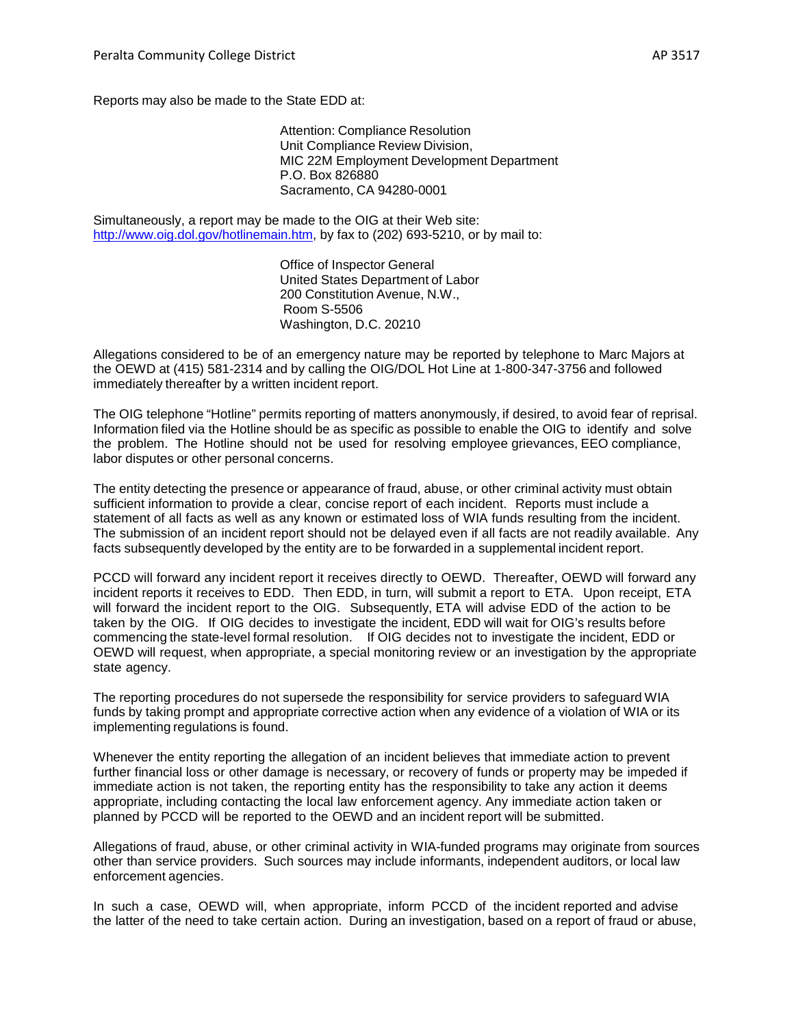Reports may also be made to the State EDD at:

Attention: Compliance Resolution Unit Compliance Review Division, MIC 22M Employment Development Department P.O. Box 826880 Sacramento, CA 94280-0001

Simultaneously, a report may be made to the OIG at their Web site: <http://www.oig.dol.gov/hotlinemain.htm>, by fax to (202) 693-5210, or by mail to:

> Office of Inspector General United States Department of Labor 200 Constitution Avenue, N.W., Room S-5506 Washington, D.C. 20210

Allegations considered to be of an emergency nature may be reported by telephone to Marc Majors at the OEWD at (415) 581-2314 and by calling the OIG/DOL Hot Line at 1-800-347-3756 and followed immediately thereafter by a written incident report.

The OIG telephone "Hotline" permits reporting of matters anonymously, if desired, to avoid fear of reprisal. Information filed via the Hotline should be as specific as possible to enable the OIG to identify and solve the problem. The Hotline should not be used for resolving employee grievances, EEO compliance, labor disputes or other personal concerns.

The entity detecting the presence or appearance of fraud, abuse, or other criminal activity must obtain sufficient information to provide a clear, concise report of each incident. Reports must include a statement of all facts as well as any known or estimated loss of WIA funds resulting from the incident. The submission of an incident report should not be delayed even if all facts are not readily available. Any facts subsequently developed by the entity are to be forwarded in a supplemental incident report.

PCCD will forward any incident report it receives directly to OEWD. Thereafter, OEWD will forward any incident reports it receives to EDD. Then EDD, in turn, will submit a report to ETA. Upon receipt, ETA will forward the incident report to the OIG. Subsequently, ETA will advise EDD of the action to be taken by the OIG. If OIG decides to investigate the incident, EDD will wait for OIG's results before commencing the state-level formal resolution. If OIG decides not to investigate the incident, EDD or OEWD will request, when appropriate, a special monitoring review or an investigation by the appropriate state agency.

The reporting procedures do not supersede the responsibility for service providers to safeguard WIA funds by taking prompt and appropriate corrective action when any evidence of a violation of WIA or its implementing regulations is found.

Whenever the entity reporting the allegation of an incident believes that immediate action to prevent further financial loss or other damage is necessary, or recovery of funds or property may be impeded if immediate action is not taken, the reporting entity has the responsibility to take any action it deems appropriate, including contacting the local law enforcement agency. Any immediate action taken or planned by PCCD will be reported to the OEWD and an incident report will be submitted.

Allegations of fraud, abuse, or other criminal activity in WIA-funded programs may originate from sources other than service providers. Such sources may include informants, independent auditors, or local law enforcement agencies.

In such a case, OEWD will, when appropriate, inform PCCD of the incident reported and advise the latter of the need to take certain action. During an investigation, based on a report of fraud or abuse,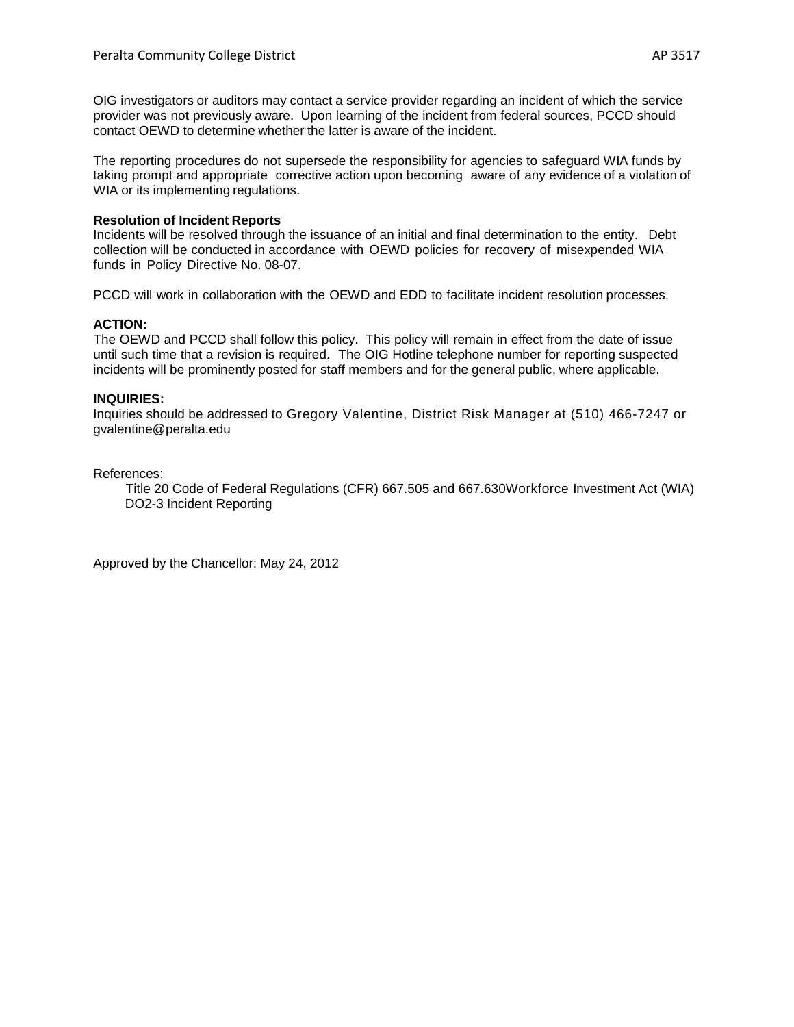OIG investigators or auditors may contact a service provider regarding an incident of which the service provider was not previously aware. Upon learning of the incident from federal sources, PCCD should contact OEWD to determine whether the latter is aware of the incident.

The reporting procedures do not supersede the responsibility for agencies to safeguard WIA funds by taking prompt and appropriate corrective action upon becoming aware of any evidence of a violation of WIA or its implementing regulations.

#### **Resolution of Incident Reports**

Incidents will be resolved through the issuance of an initial and final determination to the entity. Debt collection will be conducted in accordance with OEWD policies for recovery of misexpended WIA funds in Policy Directive No. 08-07.

PCCD will work in collaboration with the OEWD and EDD to facilitate incident resolution processes.

#### **ACTION:**

The OEWD and PCCD shall follow this policy. This policy will remain in effect from the date of issue until such time that a revision is required. The OIG Hotline telephone number for reporting suspected incidents will be prominently posted for staff members and for the general public, where applicable.

#### **INQUIRIES:**

Inquiries should be addressed to Gregory Valentine, District Risk Manager at (510) 466-7247 or gvalentine@peralta.edu

References:

 Title 20 Code of Federal Regulations (CFR) 667.505 and 667.630Workforce Investment Act (WIA) DO2-3 Incident Reporting

Approved by the Chancellor: May 24, 2012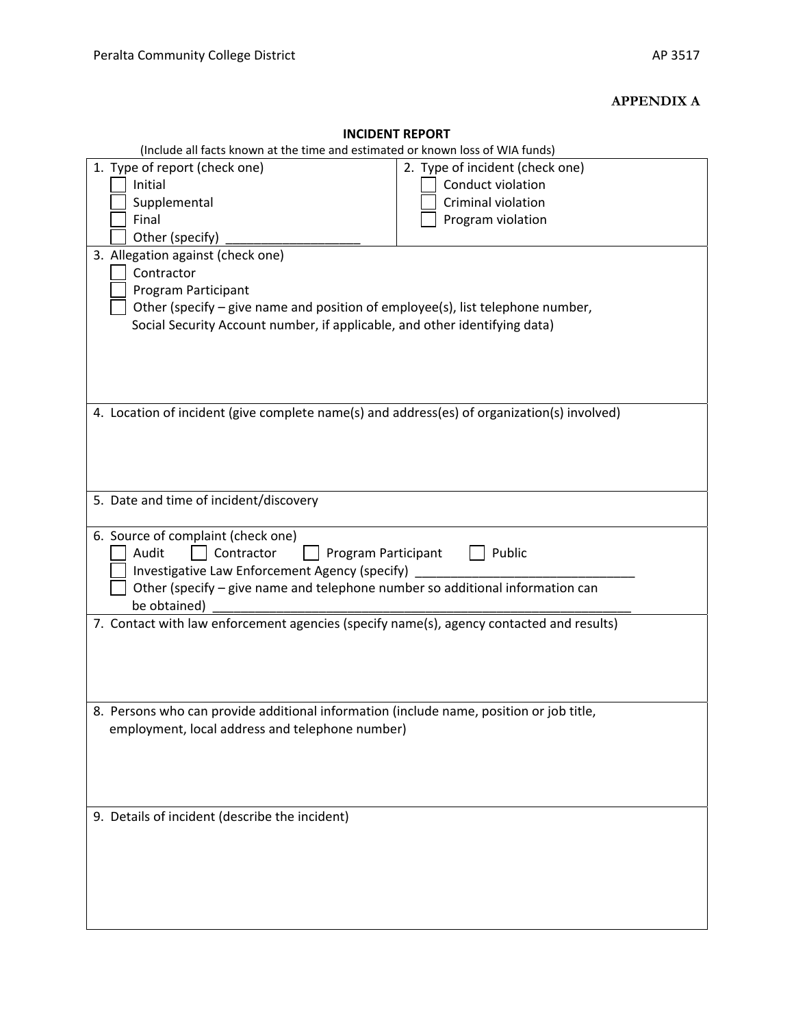### **APPENDIX A**

| <b>INCIDENT REPORT</b>                                                                      |                                 |  |
|---------------------------------------------------------------------------------------------|---------------------------------|--|
| (Include all facts known at the time and estimated or known loss of WIA funds)              |                                 |  |
| 1. Type of report (check one)                                                               | 2. Type of incident (check one) |  |
| Initial                                                                                     | Conduct violation               |  |
| Supplemental                                                                                | Criminal violation              |  |
| Final                                                                                       | Program violation               |  |
| Other (specify)                                                                             |                                 |  |
| 3. Allegation against (check one)                                                           |                                 |  |
| Contractor                                                                                  |                                 |  |
|                                                                                             |                                 |  |
| Program Participant                                                                         |                                 |  |
| Other (specify – give name and position of employee(s), list telephone number,              |                                 |  |
| Social Security Account number, if applicable, and other identifying data)                  |                                 |  |
|                                                                                             |                                 |  |
|                                                                                             |                                 |  |
|                                                                                             |                                 |  |
|                                                                                             |                                 |  |
| 4. Location of incident (give complete name(s) and address(es) of organization(s) involved) |                                 |  |
|                                                                                             |                                 |  |
|                                                                                             |                                 |  |
|                                                                                             |                                 |  |
|                                                                                             |                                 |  |
| 5. Date and time of incident/discovery                                                      |                                 |  |
|                                                                                             |                                 |  |
|                                                                                             |                                 |  |
| 6. Source of complaint (check one)                                                          |                                 |  |
| Audit<br>Public<br>Contractor<br>Program Participant                                        |                                 |  |
| Investigative Law Enforcement Agency (specify)                                              |                                 |  |
| Other (specify - give name and telephone number so additional information can               |                                 |  |
| be obtained)                                                                                |                                 |  |
| 7. Contact with law enforcement agencies (specify name(s), agency contacted and results)    |                                 |  |
|                                                                                             |                                 |  |
|                                                                                             |                                 |  |
|                                                                                             |                                 |  |
|                                                                                             |                                 |  |
| Persons who can provide additional information (include name, position or job title         |                                 |  |
| employment, local address and telephone number)                                             |                                 |  |
|                                                                                             |                                 |  |
|                                                                                             |                                 |  |
|                                                                                             |                                 |  |
|                                                                                             |                                 |  |
|                                                                                             |                                 |  |
| 9. Details of incident (describe the incident)                                              |                                 |  |
|                                                                                             |                                 |  |
|                                                                                             |                                 |  |
|                                                                                             |                                 |  |
|                                                                                             |                                 |  |
|                                                                                             |                                 |  |
|                                                                                             |                                 |  |
|                                                                                             |                                 |  |

## **INCIDENT REPORT**